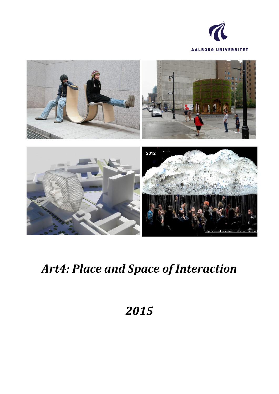



# *Art4: Place and Space of Interaction*

# *2015*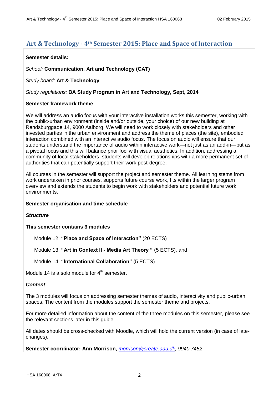# **Art & Technology - 4th Semester 2015: Place and Space of Interaction**

## **Semester details:**

*School:* **Communication, Art and Technology (CAT)**

*Study board:* **Art & Technology**

# *Study regulations:* **BA Study Program in Art and Technology, Sept, 2014**

# **Semester framework theme**

We will address an audio focus with your interactive installation works this semester, working with the public-urban environment (inside and/or outside, your choice) of our new building at Rendsburggade 14, 9000 Aalborg. We will need to work closely with stakeholders and other invested parties in the urban environment and address the theme of places (the site), embodied interaction combined with an interactive audio focus. The focus on audio will ensure that our students understand the importance of audio within interactive work—not just as an add-in—but as a pivotal focus and this will balance prior foci with visual aesthetics. In addition, addressing a community of local stakeholders, students will develop relationships with a more permanent set of authorities that can potentially support their work post-degree.

All courses in the semester will support the project and semester theme. All learning stems from work undertaken in prior courses, supports future course work, fits within the larger program overview and extends the students to begin work with stakeholders and potential future work environments.

# **Semester organisation and time schedule**

*Structure*

**This semester contains 3 modules**

Module 12: **"Place and Space of Interaction"** (20 ECTS)

Module 13: **"Art in Context II - Media Art Theory "** (5 ECTS), and

Module 14: **"International Collaboration"** (5 ECTS)

Module 14 is a solo module for  $4<sup>th</sup>$  semester.

# *Content*

The 3 modules will focus on addressing semester themes of audio, interactivity and public-urban spaces. The content from the modules support the semester theme and projects.

For more detailed information about the content of the three modules on this semester, please see the relevant sections later in this guide.

All dates should be cross-checked with Moodle, which will hold the current version (in case of latechanges).

**Semester coordinator: Ann Morrison,** *[morrison@create.aau.dk,](mailto:morrison@create.aau.dk) 9940 7452*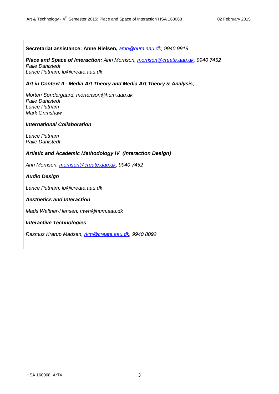**Secretariat assistance: Anne Nielsen,** *[amn@hum.aau.dk,](mailto:amn@hum.aau.dk) 9940 9919 Place and Space of Interaction: Ann Morrison, [morrison@create.aau.dk,](mailto:morrison@create.aau.dk) 9940 7452 Palle Dahlstedt Lance Putnam, lp@create.aau.dk Art in Context II - Media Art Theory and Media Art Theory & Analysis, Morten Søndergaard, mortenson@hum.aau.dk Palle Dahlstedt Lance Putnam Mark Grimshaw International Collaboration Lance Putnam Palle Dahlstedt Artistic and Academic Methodology IV (Interaction Design) Ann Morrison, [morrison@create.aau.dk,](mailto:morrison@create.aau.dk) 9940 7452 Audio Design Lance Putnam, lp@create.aau.dk Aesthetics and Interaction Mads Walther-Hensen, mwh@hum.aau.dk Interactive Technologies Rasmus Krarup Madsen, [rkm@create.aau.dk,](mailto:rkm@create.aau.dk) 9940 8092*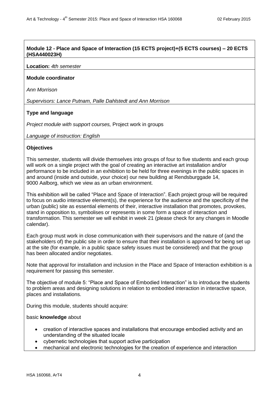# **Module 12 - Place and Space of Interaction (15 ECTS project)+(5 ECTS courses) – 20 ECTS (HSA440023H)**

#### **Location:** *4th semester*

#### **Module coordinator**

*Ann Morrison*

*Supervisors: Lance Putnam, Palle Dahlstedt and Ann Morrison*

## **Type and language**

*Project module with support courses,* Project work in groups

*Language of instruction: English*

#### **Objectives**

This semester, students will divide themselves into groups of four to five students and each group will work on a single project with the goal of creating an interactive art installation and/or performance to be included in an exhibition to be held for three evenings in the public spaces in and around (inside and outside, your choice) our new building at Rendsburggade 14, 9000 Aalborg, which we view as an urban environment.

This exhibition will be called "Place and Space of Interaction". Each project group will be required to focus on audio interactive element(s), the experience for the audience and the specificity of the urban (public) site as essential elements of their, interactive installation that promotes, provokes, stand in opposition to, symbolises or represents in some form a space of interaction and transformation. This semester we will exhibit in week 21 (please check for any changes in Moodle calendar).

Each group must work in close communication with their supervisors and the nature of (and the stakeholders of) the public site in order to ensure that their installation is approved for being set up at the site (for example, in a public space safety issues must be considered) and that the group has been allocated and/or negotiates.

Note that approval for installation and inclusion in the Place and Space of Interaction exhibition is a requirement for passing this semester.

The objective of module 5: "Place and Space of Embodied Interaction" is to introduce the students to problem areas and designing solutions in relation to embodied interaction in interactive space, places and installations.

During this module, students should acquire:

#### basic **knowledge** about

- creation of interactive spaces and installations that encourage embodied activity and an understanding of the situated locale
- cybernetic technologies that support active participation
- mechanical and electronic technologies for the creation of experience and interaction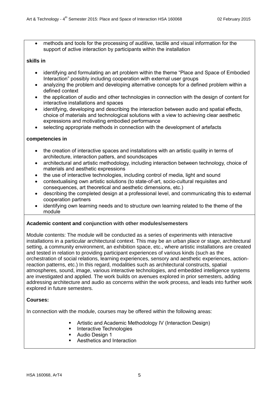methods and tools for the processing of auditive, tactile and visual information for the support of active interaction by participants within the installation

## **skills in**

- identifying and formulating an art problem within the theme "Place and Space of Embodied Interaction" possibly including cooperation with external user groups
- analyzing the problem and developing alternative concepts for a defined problem within a defined context
- the application of audio and other technologies in connection with the design of content for interactive installations and spaces
- identifying, developing and describing the interaction between audio and spatial effects, choice of materials and technological solutions with a view to achieving clear aesthetic expressions and motivating embodied performance
- selecting appropriate methods in connection with the development of artefacts

## **competencies in**

- the creation of interactive spaces and installations with an artistic quality in terms of architecture, interaction patters, and soundscapes
- architectural and artistic methodology, including interaction between technology, choice of materials and aesthetic expressions
- the use of interactive technologies, including control of media, light and sound
- contextualising own artistic solutions (to state-of-art, socio-cultural requisites and consequences, art theoretical and aesthetic dimensions, etc.)
- describing the completed design at a professional level, and communicating this to external cooperation partners
- identifying own learning needs and to structure own learning related to the theme of the module

# **Academic content and conjunction with other modules/semesters**

Module contents: The module will be conducted as a series of experiments with interactive installations in a particular architectural context. This may be an urban place or stage, architectural setting, a community environment, an exhibition space, etc., where artistic installations are created and tested in relation to providing participant experiences of various kinds (such as the orchestration of social relations, learning experiences, sensory and aesthetic experiences, actionreaction patterns, etc.) In this regard, modalities such as architectural constructs, spatial atmospheres, sound, image, various interactive technologies, and embedded intelligence systems are investigated and applied. The work builds on avenues explored in prior semesters, adding addressing architecture and audio as concerns within the work process, and leads into further work explored in future semesters.

#### **Courses:**

In connection with the module, courses may be offered within the following areas:

- Artistic and Academic Methodology IV (Interaction Design)
- **Interactive Technologies**
- **Audio Design 1**
- Aesthetics and Interaction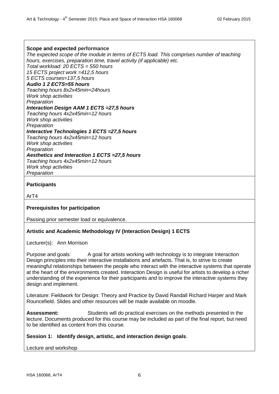#### **Scope and expected performance**

*The expected scope of the module in terms of ECTS load. This comprises number of teaching hours, exercises, preparation time, travel activity (if applicable) etc. Total workload: 20 ECTS = 550 hours 15 ECTS project work =412,5 hours 5 ECTS courses=137,5 hours Audio 1 2 ECTS=55 hours Teaching hours 8x2x45min=24hours Work shop activities Preparation Interaction Design AAM 1 ECTS =27,5 hours Teaching hours 4x2x45min=12 hours Work shop activities Preparation Interactive Technologies 1 ECTS =27,5 hours Teaching hours 4x2x45min=12 hours Work shop activities Preparation Aesthetics and Interaction 1 ECTS =27,5 hours Teaching hours 4x2x45min=12 hours Work shop activities Preparation*

#### **Participants**

ArT4

#### **Prerequisites for participation**

Passing prior semester load or equivalence.

#### **Artistic and Academic Methodology IV (Interaction Design) 1 ECTS**

Lecturer(s): Ann Morrison

Purpose and goals: A goal for artists working with technology is to integrate Interaction Design principles into their interactive installations and artefacts. That is, to strive to create meaningful relationships between the people who interact with the interactive systems that operate at the heart of the environments created. Interaction Design is useful for artists to develop a richer understanding of the experience for their participants and to improve the interactive systems they design and implement.

Literature: Fieldwork for Design: Theory and Practice by David Randall Richard Harper and Mark Rouncefield. Slides and other resources will be made available on moodle.

Assessment: Students will do practical exercises on the methods presented in the lecture. Documents produced for this course may be included as part of the final report, but need to be identified as content from this course.

#### **Session 1: Identify design, artistic, and interaction design goals**.

Lecture and workshop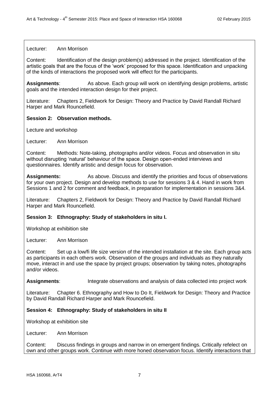#### Lecturer: Ann Morrison

Content: Identification of the design problem(s) addressed in the project. Identification of the artistic goals that are the focus of the 'work' proposed for this space. Identification and unpacking of the kinds of interactions the proposed work will effect for the participants.

**Assignments**: As above. Each group will work on identifying design problems, artistic goals and the intended interaction design for their project.

Literature: Chapters 2, Fieldwork for Design: Theory and Practice by David Randall Richard Harper and Mark Rouncefield.

#### **Session 2: Observation methods.**

Lecture and workshop

Lecturer: Ann Morrison

Content: Methods: Note-taking, photographs and/or videos. Focus and observation in situ without disrupting 'natural' behaviour of the space. Design open-ended interviews and questionnaires. Identify artistic and design focus for observation.

**Assignments:** As above. Discuss and identify the priorities and focus of observations for your own project. Design and develop methods to use for sessions 3 & 4. Hand in work from Sessions 1 and 2 for comment and feedback, in preparation for implementation in sessions 3&4.

Literature: Chapters 2, Fieldwork for Design: Theory and Practice by David Randall Richard Harper and Mark Rouncefield.

#### **Session 3: Ethnography: Study of stakeholders in situ I.**

Workshop at exhibition site

Lecturer: Ann Morrison

Content: Set up a low/fi life size version of the intended installation at the site. Each group acts as participants in each others work. Observation of the groups and individuals as they naturally move, interact in and use the space by project groups; observation by taking notes, photographs and/or videos.

**Assignments:** Integrate observations and analysis of data collected into project work

Literature: Chapter 6. Ethnography and How to Do It, Fieldwork for Design: Theory and Practice by David Randall Richard Harper and Mark Rouncefield.

#### **Session 4: Ethnography: Study of stakeholders in situ II**

Workshop at exhibition site

Lecturer: Ann Morrison

Content: Discuss findings in groups and narrow in on emergent findings. Critically refelect on own and other groups work. Continue with more honed observation focus. Identify interactions that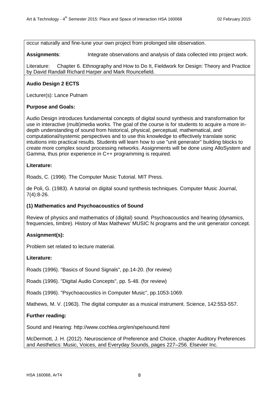occur naturally and fine-tune your own project from prolonged site observation.

**Assignments**: Integrate observations and analysis of data collected into project work.

Literature: Chapter 6. Ethnography and How to Do It, Fieldwork for Design: Theory and Practice by David Randall Richard Harper and Mark Rouncefield.

# **Audio Design 2 ECTS**

Lecturer(s): Lance Putnam

## **Purpose and Goals:**

Audio Design introduces fundamental concepts of digital sound synthesis and transformation for use in interactive (multi)media works. The goal of the course is for students to acquire a more indepth understanding of sound from historical, physical, perceptual, mathematical, and computational/systemic perspectives and to use this knowledge to effectively translate sonic intuitions into practical results. Students will learn how to use "unit generator" building blocks to create more complex sound processing networks. Assignments will be done using AlloSystem and Gamma, thus prior experience in C++ programming is required.

## **Literature:**

Roads, C. (1996). The Computer Music Tutorial. MIT Press.

de Poli, G. (1983). A tutorial on digital sound synthesis techniques. Computer Music Journal, 7(4):8-26.

#### **(1) Mathematics and Psychoacoustics of Sound**

Review of physics and mathematics of (digital) sound. Psychoacoustics and hearing (dynamics, frequencies, timbre). History of Max Mathews' MUSIC N programs and the unit generator concept.

# **Assignment(s):**

Problem set related to lecture material.

#### **Literature:**

Roads (1996). "Basics of Sound Signals", pp.14-20. (for review)

Roads (1996). "Digital Audio Concepts", pp. 5-48. (for review)

Roads (1996). "Psychoacoustics in Computer Music", pp.1053-1069.

Mathews, M. V. (1963). The digital computer as a musical instrument. Science, 142:553-557.

# **Further reading:**

Sound and Hearing: http://www.cochlea.org/en/spe/sound.html

McDermott, J. H. (2012). Neuroscience of Preference and Choice, chapter Auditory Preferences and Aesthetics: Music, Voices, and Everyday Sounds, pages 227–256. Elsevier Inc.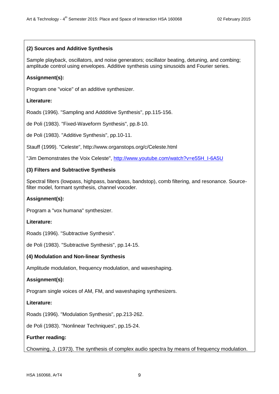# **(2) Sources and Additive Synthesis**

Sample playback, oscillators, and noise generators; oscillator beating, detuning, and combing; amplitude control using envelopes. Additive synthesis using sinusoids and Fourier series.

## **Assignment(s):**

Program one "voice" of an additive synthesizer.

## **Literature:**

Roads (1996). "Sampling and Addditive Synthesis", pp.115-156.

de Poli (1983). "Fixed-Waveform Synthesis", pp.8-10.

de Poli (1983). "Additive Synthesis", pp.10-11.

Stauff (1999). "Celeste", http://www.organstops.org/c/Celeste.html

"Jim Demonstrates the Voix Celeste", [http://www.youtube.com/watch?v=e55H\\_I-6A5U](http://www.youtube.com/watch?v=e55H_I-6A5U)

## **(3) Filters and Subtractive Synthesis**

Spectral filters (lowpass, highpass, bandpass, bandstop), comb filtering, and resonance. Sourcefilter model, formant synthesis, channel vocoder.

## **Assignment(s):**

Program a "vox humana" synthesizer.

#### **Literature:**

Roads (1996). "Subtractive Synthesis".

de Poli (1983). "Subtractive Synthesis", pp.14-15.

#### **(4) Modulation and Non-linear Synthesis**

Amplitude modulation, frequency modulation, and waveshaping.

#### **Assignment(s):**

Program single voices of AM, FM, and waveshaping synthesizers.

#### **Literature:**

Roads (1996). "Modulation Synthesis", pp.213-262.

de Poli (1983). "Nonlinear Techniques", pp.15-24.

# **Further reading:**

Chowning, J. (1973). The synthesis of complex audio spectra by means of frequency modulation.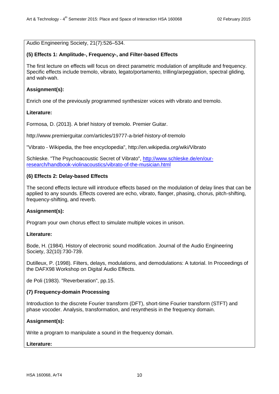Audio Engineering Society, 21(7):526–534.

## **(5) Effects 1: Amplitude-, Frequency-, and Filter-based Effects**

The first lecture on effects will focus on direct parametric modulation of amplitude and frequency. Specific effects include tremolo, vibrato, legato/portamento, trilling/arpeggiation, spectral gliding, and wah-wah.

# **Assignment(s):**

Enrich one of the previously programmed synthesizer voices with vibrato and tremolo.

# **Literature:**

Formosa, D. (2013). A brief history of tremolo. Premier Guitar.

http://www.premierguitar.com/articles/19777-a-brief-history-of-tremolo

"Vibrato - Wikipedia, the free encyclopedia", http://en.wikipedia.org/wiki/Vibrato

Schleske. "The Psychoacoustic Secret of Vibrato", [http://www.schleske.de/en/our](http://www.schleske.de/en/our-research/handbook-violinacoustics/vibrato-of-the-musician.html)[research/handbook-violinacoustics/vibrato-of-the-musician.html](http://www.schleske.de/en/our-research/handbook-violinacoustics/vibrato-of-the-musician.html)

# **(6) Effects 2: Delay-based Effects**

The second effects lecture will introduce effects based on the modulation of delay lines that can be applied to any sounds. Effects covered are echo, vibrato, flanger, phasing, chorus, pitch-shifting, frequency-shifting, and reverb.

# **Assignment(s):**

Program your own chorus effect to simulate multiple voices in unison.

# **Literature:**

Bode, H. (1984). History of electronic sound modification. Journal of the Audio Engineering Society, 32(10):730-739.

Dutilleux, P. (1998). Filters, delays, modulations, and demodulations: A tutorial. In Proceedings of the DAFX98 Workshop on Digital Audio Effects.

de Poli (1983). "Reverberation", pp.15.

# **(7) Frequency-domain Processing**

Introduction to the discrete Fourier transform (DFT), short-time Fourier transform (STFT) and phase vocoder. Analysis, transformation, and resynthesis in the frequency domain.

# **Assignment(s):**

Write a program to manipulate a sound in the frequency domain.

#### **Literature:**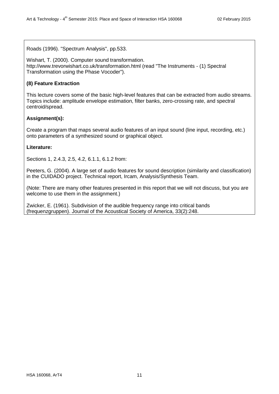Roads (1996). "Spectrum Analysis", pp.533.

Wishart, T. (2000). Computer sound transformation. http://www.trevorwishart.co.uk/transformation.html (read "The Instruments - (1) Spectral Transformation using the Phase Vocoder").

## **(8) Feature Extraction**

This lecture covers some of the basic high-level features that can be extracted from audio streams. Topics include: amplitude envelope estimation, filter banks, zero-crossing rate, and spectral centroid/spread.

## **Assignment(s):**

Create a program that maps several audio features of an input sound (line input, recording, etc.) onto parameters of a synthesized sound or graphical object.

## **Literature:**

Sections 1, 2.4.3, 2.5, 4.2, 6.1.1, 6.1.2 from:

Peeters, G. (2004). A large set of audio features for sound description (similarity and classification) in the CUIDADO project. Technical report, Ircam, Analysis/Synthesis Team.

(Note: There are many other features presented in this report that we will not discuss, but you are welcome to use them in the assignment.)

Zwicker, E. (1961). Subdivision of the audible frequency range into critical bands (frequenzgruppen). Journal of the Acoustical Society of America, 33(2):248.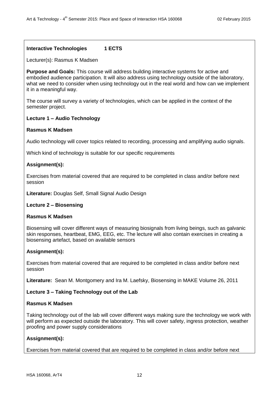# **Interactive Technologies 1 ECTS**

Lecturer(s): Rasmus K Madsen

**Purpose and Goals:** This course will address building interactive systems for active and embodied audience participation. It will also address using technology outside of the laboratory, what we need to consider when using technology out in the real world and how can we implement it in a meaningful way.

The course will survey a variety of technologies, which can be applied in the context of the semester project.

## **Lecture 1 – Audio Technology**

#### **Rasmus K Madsen**

Audio technology will cover topics related to recording, processing and amplifying audio signals.

Which kind of technology is suitable for our specific requirements

#### **Assignment(s):**

Exercises from material covered that are required to be completed in class and/or before next session

**Literature:** Douglas Self, Small Signal Audio Design

#### **Lecture 2 – Biosensing**

#### **Rasmus K Madsen**

Biosensing will cover different ways of measuring biosignals from living beings, such as galvanic skin responses, heartbeat, EMG, EEG, etc. The lecture will also contain exercises in creating a biosensing artefact, based on available sensors

# **Assignment(s):**

Exercises from material covered that are required to be completed in class and/or before next session

**Literature:** Sean M. Montgomery and Ira M. Laefsky, Biosensing in MAKE Volume 26, 2011

# **Lecture 3 – Taking Technology out of the Lab**

#### **Rasmus K Madsen**

Taking technology out of the lab will cover different ways making sure the technology we work with will perform as expected outside the laboratory. This will cover safety, ingress protection, weather proofing and power supply considerations

# **Assignment(s):**

Exercises from material covered that are required to be completed in class and/or before next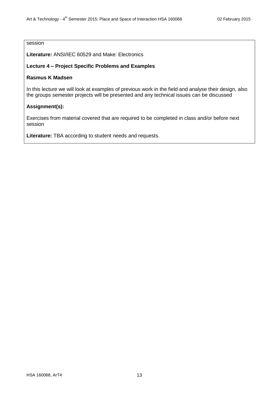# session

**Literature:** ANSI/IEC 60529 and Make: Electronics

## **Lecture 4 – Project Specific Problems and Examples**

## **Rasmus K Madsen**

In this lecture we will look at examples of previous work in the field and analyse their design, also the groups semester projects will be presented and any technical issues can be discussed

## **Assignment(s):**

Exercises from material covered that are required to be completed in class and/or before next session

**Literature:** TBA according to student needs and requests.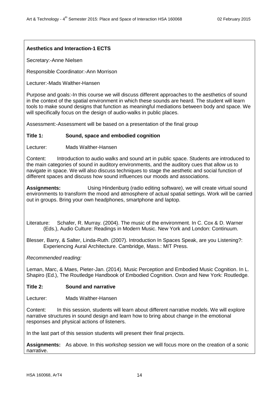# **Aesthetics and Interaction-1 ECTS**

Secretary:-Anne Nielsen

Responsible Coordinator:-Ann Morrison

Lecturer:-Mads Walther-Hansen

Purpose and goals:-In this course we will discuss different approaches to the aesthetics of sound in the context of the spatial environment in which these sounds are heard. The student will learn tools to make sound designs that function as meaningful mediations between body and space. We will specifically focus on the design of audio-walks in public places.

Assessment:-Assessment will be based on a presentation of the final group

## **Title 1: Sound, space and embodied cognition**

Lecturer: Mads Walther-Hansen

Content: Introduction to audio walks and sound art in public space. Students are introduced to the main categories of sound in auditory environments, and the auditory cues that allow us to navigate in space. We will also discuss techniques to stage the aesthetic and social function of different spaces and discuss how sound influences our moods and associations.

**Assignments:** Using Hindenburg (radio editing software), we will create virtual sound environments to transform the mood and atmosphere of actual spatial settings. Work will be carried out in groups. Bring your own headphones, smartphone and laptop.

Literature: Schafer, R. Murray. (2004). The music of the environment. In C. Cox & D. Warner (Eds.), Audio Culture: Readings in Modern Music. New York and London: Continuum.

Blesser, Barry, & Salter, Linda-Ruth. (2007). Introduction In Spaces Speak, are you Listening?: Experiencing Aural Architecture. Cambridge, Mass.: MIT Press.

*Recommended reading:*

Leman, Marc, & Maes, Pieter-Jan. (2014). Music Perception and Embodied Music Cognition. In L. Shapiro (Ed.), The Routledge Handbook of Embodied Cognition. Oxon and New York: Routledge.

#### **Title 2: Sound and narrative**

Lecturer: Mads Walther-Hansen

Content: In this session, students will learn about different narrative models. We will explore narrative structures in sound design and learn how to bring about change in the emotional responses and physical actions of listeners.

In the last part of this session students will present their final projects.

**Assignments:** As above. In this workshop session we will focus more on the creation of a sonic narrative.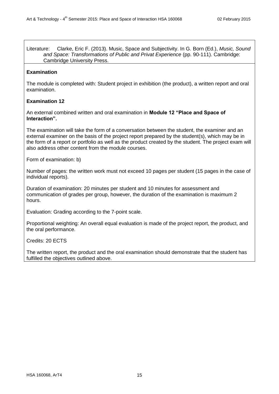Literature: Clarke, Eric F. (2013). Music, Space and Subjectivity. In G. Born (Ed.), *Music, Sound and Space: Transformations of Public and Privat Experience* (pp. 90-111). Cambridge: Cambridge University Press.

# **Examination**

The module is completed with: Student project in exhibition (the product), a written report and oral examination.

## **Examination 12**

An external combined written and oral examination in **Module 12 "Place and Space of Interaction".**

The examination will take the form of a conversation between the student, the examiner and an external examiner on the basis of the project report prepared by the student(s), which may be in the form of a report or portfolio as well as the product created by the student. The project exam will also address other content from the module courses.

Form of examination: b)

Number of pages: the written work must not exceed 10 pages per student (15 pages in the case of individual reports).

Duration of examination: 20 minutes per student and 10 minutes for assessment and communication of grades per group, however, the duration of the examination is maximum 2 hours.

Evaluation: Grading according to the 7-point scale.

Proportional weighting: An overall equal evaluation is made of the project report, the product, and the oral performance.

Credits: 20 ECTS

The written report, the product and the oral examination should demonstrate that the student has fulfilled the objectives outlined above.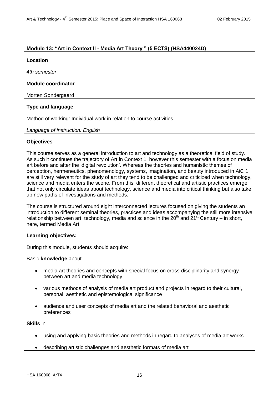# **Module 13: "Art in Context II - Media Art Theory " (5 ECTS) (HSA440024D)**

#### **Location**

*4th semester*

# **Module coordinator**

Morten Søndergaard

# **Type and language**

Method of working: Individual work in relation to course activities

*Language of instruction: English*

# **Objectives**

This course serves as a general introduction to art and technology as a theoretical field of study. As such it continues the trajectory of Art in Context 1, however this semester with a focus on media art before and after the 'digital revolution'. Whereas the theories and humanistic themes of perception, hermeneutics, phenomenology, systems, imagination, and beauty introduced in AiC 1 are still very relevant for the study of art they tend to be challenged and criticized when technology, science and media enters the scene. From this, different theoretical and artistic practices emerge that not only circulate ideas about technology, science and media into critical thinking but also take up new paths of investigations and methods.

The course is structured around eight interconnected lectures focused on giving the students an introduction to different seminal theories, practices and ideas accompanying the still more intensive relationship between art, technology, media and science in the  $20<sup>th</sup>$  and  $21<sup>st</sup>$  Century – in short. here, termed Media Art.

# **Learning objectives:**

During this module, students should acquire:

#### Basic **knowledge** about

- media art theories and concepts with special focus on cross-disciplinarity and synergy between art and media technology
- various methods of analysis of media art product and projects in regard to their cultural, personal, aesthetic and epistemological significance
- audience and user concepts of media art and the related behavioral and aesthetic preferences

# **Skills** in

- using and applying basic theories and methods in regard to analyses of media art works
- describing artistic challenges and aesthetic formats of media art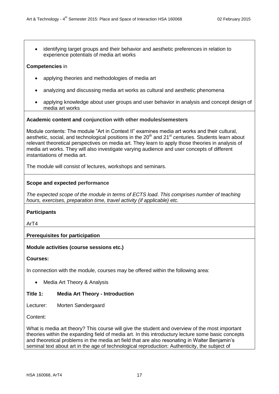identifying target groups and their behavior and aesthetic preferences in relation to experience potentials of media art works

## **Competencies** in

- applying theories and methodologies of media art
- analyzing and discussing media art works as cultural and aesthetic phenomena
- applying knowledge about user groups and user behavior in analysis and concept design of media art works

#### **Academic content and conjunction with other modules/semesters**

Module contents: The module "Art in Context II" examines media art works and their cultural, aesthetic, social, and technological positions in the  $20<sup>th</sup>$  and  $21<sup>st</sup>$  centuries. Students learn about relevant theoretical perspectives on media art. They learn to apply those theories in analysis of media art works. They will also investigate varying audience and user concepts of different instantiations of media art.

The module will consist of lectures, workshops and seminars.

#### **Scope and expected performance**

*The expected scope of the module in terms of ECTS load. This comprises number of teaching hours, exercises, preparation time, travel activity (if applicable) etc.*

#### **Participants**

ArT4

# **Prerequisites for participation**

#### **Module activities (course sessions etc.)**

**Courses:**

In connection with the module, courses may be offered within the following area:

• Media Art Theory & Analysis

#### **Title 1: Media Art Theory - Introduction**

Lecturer: Morten Søndergaard

Content:

What is media art theory? This course will give the student and overview of the most important theories within the expanding field of media art. In this introductury lecture some basic concepts and theoretical problems in the media art field that are also resonating in Walter Benjamin's seminal text about art in the age of technological reproduction: Authenticity, the subject of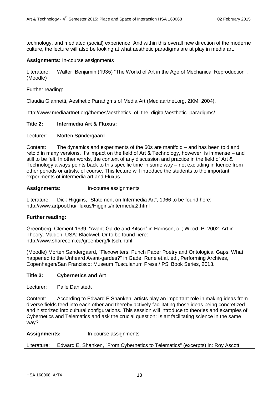technology, and mediated (social) experience. And within this overall new direction of the moderne culture, the lecture will also be looking at what aesthetic paradigms are at play in media art.

## **Assignments:** In-course assignments

Literature: Walter Benjamin (1935) "The Workd of Art in the Age of Mechanical Reproduction". (Moodle)

Further reading:

Claudia Giannetti, Aesthetic Paradigms of Media Art (Mediaartnet.org, ZKM, 2004).

http://www.mediaartnet.org/themes/aesthetics of the digital/aesthetic paradigms/

# **Title 2: Intermedia Art & Fluxus:**

Lecturer: Morten Søndergaard

Content: The dynamics and experiments of the 60s are manifold – and has been told and retold in many versions. It's impact on the field of Art & Technology, however, is immense – and still to be felt. In other words, the context of any discussion and practice in the field of Art & Technology always points back to this specific time in some way – not excluding influence from other periods or artists, of course. This lecture will introduce the students to the important experiments of intermedia art and Fluxus.

**Assignments:** In-course assignments

Literature: Dick Higgins, "Statement on Intermedia Art", 1966 to be found here: http://www.artpool.hu/Fluxus/Higgins/intermedia2.html

# **Further reading:**

Greenberg, Clement 1939. "Avant-Garde and Kitsch" in Harrison, c. ; Wood, P. 2002. Art in Theory. Malden, USA: Blackwel. Or to be found here: http://www.sharecom.ca/greenberg/kitsch.html

(Moodle) Morten Søndergaard, "Flexowriters, Punch Paper Poetry and Ontological Gaps: What happened to the Unheard Avant-gardes?" in Gade, Rune et.al. ed., Performing Archives, Copenhagen/San Francisco: Museum Tusculanum Press / PSi Book Series, 2013.

#### **Title 3: Cybernetics and Art**

Lecturer: Palle Dahlstedt

Content: According to Edward E Shanken, artists play an important role in making ideas from diverse fields feed into each other and thereby actively facilitating those ideas being concretized and historized into cultural configurations. This session will introduce to theories and examples of Cybernetics and Telematics and ask the crucial question: Is art facilitating science in the same way?

| <b>Assignments:</b> | In-course assignments                                                         |
|---------------------|-------------------------------------------------------------------------------|
| Literature:         | Edward E. Shanken, "From Cybernetics to Telematics" (excerpts) in: Roy Ascott |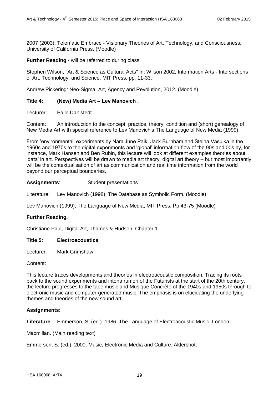2007 (2003), Telematic Embrace - Visionary Theories of Art, Technology, and Consciousness, University of California Press. (Moodle)

**Further Reading** - will be referred to during class:

Stephen Wilson, "Art & Science as Cultural Acts" In: Wilson 2002, Information Arts - Intersections of Art, Technology, and Science. MIT Press, pp. 11-33.

Andrew Pickering: Neo-Sigma: Art, Agency and Revolution, 2012. (Moodle)

## **Title 4: (New) Media Art – Lev Manovich .**

Lecturer: Palle Dahlstedt

Content: An introduction to the concept, practice, theory, condition and (short) genealogy of New Media Art with special reference to Lev Manovich's The Language of New Media (1999).

From 'environmental' experiments by Nam June Paik, Jack Burnham and Steina Vasulka in the 1960s and 1970s to the digital experiments and 'global' information-flow of the 90s and 00s by, for instance, Mark Hansen and Ben Rubin, this lecture will look at different examples theories about 'data' in art. Perspectives will be drawn to media art theory, digital art theory – but most importantly will be the contextualisation of art as communication and real time information from the world beyond our perceptual boundaries.

## **Assignments**: Student presentations

Literature: Lev Manovich (1998), The Database as Symbolic Form. (Moodle)

Lev Manovich (1999), The Language of New Media, MIT Press. Pp.43-75 (Moodle)

# **Further Reading.**

Christiane Paul, Digital Art, Thames & Hudson, Chapter 1

#### **Title 5: Electroacoustics**

Lecturer: Mark Grimshaw

Content:

This lecture traces developments and theories in electroacoustic composition. Tracing its roots back to the sound experiments and intona rumori of the Futurists at the start of the 20th century, the lecture progresses to the tape music and Musique Concrète of the 1940s and 1950s through to electronic music and computer-generated music. The emphasis is on elucidating the underlying themes and theories of the new sound art.

# **Assignments:**

**Literature**: Emmerson, S. (ed.). 1986. The Language of Electroacoustic Music. London:

Macmillan. (Main reading text)

Emmerson, S. (ed.). 2000. Music, Electronic Media and Culture. Aldershot,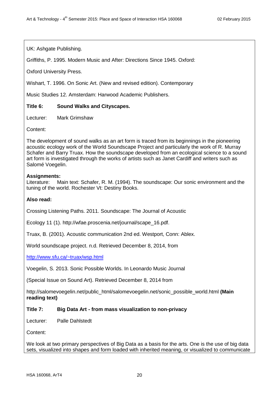UK: Ashgate Publishing.

Griffiths, P. 1995. Modern Music and After: Directions Since 1945. Oxford:

Oxford University Press.

Wishart, T. 1996. On Sonic Art. (New and revised edition). Contemporary

Music Studies 12. Amsterdam: Harwood Academic Publishers.

# **Title 6: Sound Walks and Cityscapes.**

Lecturer: Mark Grimshaw

Content:

The development of sound walks as an art form is traced from its beginnings in the pioneering acoustic ecology work of the World Soundscape Project and particularly the work of R. Murray Schafer and Barry Truax. How the soundscape developed from an ecological science to a sound art form is investigated through the works of artists such as Janet Cardiff and writers such as Salomé Voegelin.

## **Assignments:**

Literature: Main text: Schafer, R. M. (1994). The soundscape: Our sonic environment and the tuning of the world. Rochester Vt: Destiny Books.

#### **Also read:**

Crossing Listening Paths. 2011. Soundscape: The Journal of Acoustic

Ecology 11 (1). http://wfae.proscenia.net/journal/scape\_16.pdf.

Truax, B. (2001). Acoustic communication 2nd ed. Westport, Conn: Ablex.

World soundscape project. n.d. Retrieved December 8, 2014, from

<http://www.sfu.ca/~truax/wsp.html>

Voegelin, S. 2013. Sonic Possible Worlds. In Leonardo Music Journal

(Special Issue on Sound Art). Retrieved December 8, 2014 from

http://salomevoegelin.net/public\_html/salomevoegelin.net/sonic\_possible\_world.html **(Main reading text)**

# **Title 7: Big Data Art - from mass visualization to non-privacy**

Lecturer: Palle Dahlstedt

Content:

We look at two primary perspectives of Big Data as a basis for the arts. One is the use of big data sets, visualized into shapes and form loaded with inherited meaning, or visualized to communicate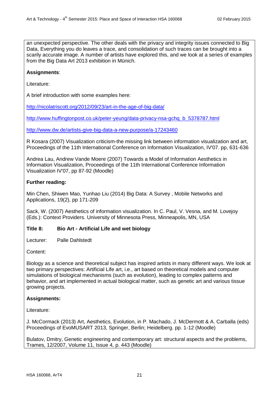an unexpected perspective. The other deals with the privacy and integrity issues connected to Big Data, Everything you do leaves a trace, and consolidation of such traces can be brought into a scarily accurate image. A number of artists have explored this, and we look at a series of examples from the Big Data Art 2013 exhibition in Münich.

## **Assignments**:

Literature:

A brief introduction with some examples here:

<http://nicolatriscott.org/2012/09/23/art-in-the-age-of-big-data/>

[http://www.huffingtonpost.co.uk/peter-yeung/data-privacy-nsa-gchq\\_b\\_5378787.html](http://www.huffingtonpost.co.uk/peter-yeung/data-privacy-nsa-gchq_b_5378787.html)

<http://www.dw.de/artists-give-big-data-a-new-purpose/a-17243460>

R Kosara (2007) Visualization criticism-the missing link between information visualization and art, Proceedings of the 11th International Conference on Information Visualization, IV'07. pp, 631-636

Andrea Lau, Andrew Vande Moere (2007) Towards a Model of Information Aesthetics in Information Visualization, Proceedings of the 11th International Conference Information Visualization IV'07, pp 87-92 (Moodle)

## **Further reading:**

Min Chen, Shiwen Mao, Yunhao Liu (2014) Big Data: A Survey , Mobile Networks and Applications, 19(2), pp 171-209

Sack, W. (2007) Aesthetics of information visualization. In C. Paul, V. Vesna, and M. Lovejoy (Eds.): Context Providers. University of Minnesota Press, Minneapolis, MN, USA

#### **Title 8: Bio Art - Artificial Life and wet biology**

Lecturer: Palle Dahlstedt

Content:

Biology as a science and theoretical subject has inspired artists in many different ways. We look at two primary perspectives: Artificial Life art, i.e., art based on theoretical models and computer simulations of biological mechanisms (such as evolution), leading to complex patterns and behavior, and art implemented in actual biological matter, such as genetic art and various tissue growing projects.

# **Assignments:**

Literature:

J. McCormack (2013) Art, Aesthetics, Evolution, in P. Machado, J. McDermott & A. Carballa (eds) Proceedings of EvoMUSART 2013, Springer, Berlin; Heidelberg. pp. 1-12 (Moodle)

Bulatov, Dmitry, Genetic engineering and contemporary art: structural aspects and the problems, Trames, 12/2007, Volume 11, Issue 4, p. 443 (Moodle)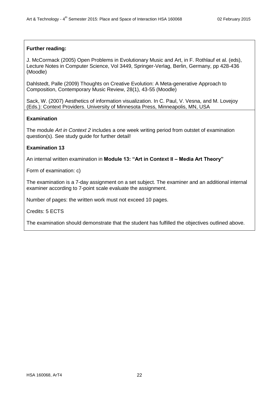## **Further reading:**

J. McCormack (2005) Open Problems in Evolutionary Music and Art, in F. Rothlauf et al. (eds), Lecture Notes in Computer Science, Vol 3449, Springer-Verlag, Berlin, Germany, pp 428-436 (Moodle)

Dahlstedt, Palle (2009) Thoughts on Creative Evolution: A Meta-generative Approach to Composition, Contemporary Music Review, 28(1), 43-55 (Moodle)

Sack, W. (2007) Aesthetics of information visualization. In C. Paul, V. Vesna, and M. Lovejoy (Eds.): Context Providers. University of Minnesota Press, Minneapolis, MN, USA

## **Examination**

The module *Art in Context 2* includes a one week writing period from outstet of examination question(s). See study guide for further detail!

## **Examination 13**

An internal written examination in **Module 13: "Art in Context II – Media Art Theory"**

Form of examination: c)

The examination is a 7-day assignment on a set subject. The examiner and an additional internal examiner according to 7-point scale evaluate the assignment.

Number of pages: the written work must not exceed 10 pages.

Credits: 5 ECTS

The examination should demonstrate that the student has fulfilled the objectives outlined above.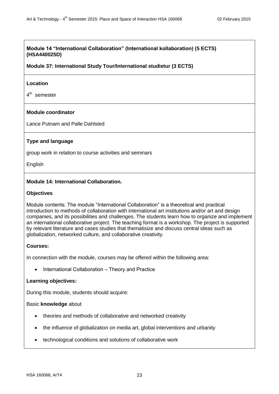# **Module 14 "International Collaboration" (International kollaboration) (5 ECTS) (HSA440025D)**

# **Module 37: International Study Tour/International studietur (3 ECTS)**

## **Location**

4<sup>th</sup> semester

# **Module coordinator**

Lance Putnam and Palle Dahlsted

# **Type and language**

group work in relation to course activities and seminars

English

# **Module 14: International Collaboration.**

## **Objectives**

Module contents: The module "International Collaboration" is a theoretical and practical introduction to methods of collaboration with international art institutions and/or art and design companies, and its possibilities and challenges. The students learn how to organize and implement an international collaborative project. The teaching format is a workshop. The project is supported by relevant literature and cases studies that thematisize and discuss central ideas such as globalization, networked culture, and collaborative creativity.

# **Courses:**

In connection with the module, courses may be offered within the following area:

• International Collaboration – Theory and Practice

#### **Learning objectives:**

During this module, students should acquire:

#### Basic **knowledge** about

- theories and methods of collaborative and networked creativity
- the influence of globalization on media art, global interventions and urbanity
- technological conditions and solutions of collaborative work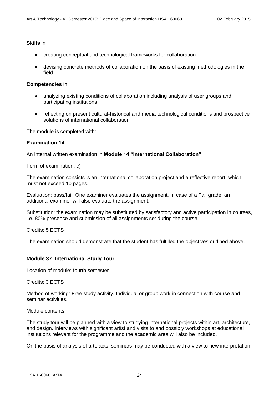# **Skills** in

- creating conceptual and technological frameworks for collaboration
- devising concrete methods of collaboration on the basis of existing methodologies in the field

#### **Competencies** in

- analyzing existing conditions of collaboration including analysis of user groups and participating institutions
- reflecting on present cultural-historical and media technological conditions and prospective solutions of international collaboration

The module is completed with:

## **Examination 14**

An internal written examination in **Module 14 "International Collaboration"**

Form of examination: c)

The examination consists is an international collaboration project and a reflective report, which must not exceed 10 pages.

Evaluation: pass/fail. One examiner evaluates the assignment. In case of a Fail grade, an additional examiner will also evaluate the assignment.

Substitution: the examination may be substituted by satisfactory and active participation in courses, i.e. 80% presence and submission of all assignments set during the course.

Credits: 5 ECTS

The examination should demonstrate that the student has fulfilled the objectives outlined above.

# **Module 37: International Study Tour**

Location of module: fourth semester

Credits: 3 ECTS

Method of working: Free study activity. Individual or group work in connection with course and seminar activities.

Module contents:

The study tour will be planned with a view to studying international projects within art, architecture, and design. Interviews with significant artist and visits to and possibly workshops at educational institutions relevant for the programme and the academic area will also be included.

On the basis of analysis of artefacts, seminars may be conducted with a view to new interpretation,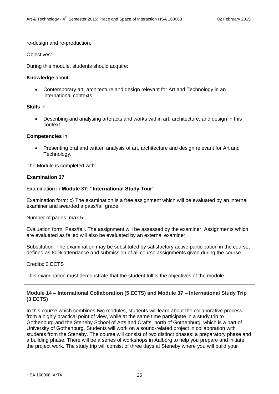re-design and re-production.

Objectives:

During this module, students should acquire:

## **Knowledge** about

 Contemporary art, architecture and design relevant for Art and Technology in an international contexts

## **Skills** in

 Describing and analysing artefacts and works within art, architecture, and design in this context

## **Competencies** in

 Presenting oral and written analysis of art, architecture and design relevant for Art and Technology.

The Module is completed with:

# **Examination 37**

Examination in **Module 37: "International Study Tour"**

Examination form: c) The examination is a free assignment which will be evaluated by an internal examiner and awarded a pass/fail grade.

Number of pages: max 5

Evaluation form: Pass/fail. The assignment will be assessed by the examiner. Assignments which are evaluated as failed will also be evaluated by an external examiner.

Substitution: The examination may be substituted by satisfactory active participation in the course, defined as 80% attendance and submission of all course assignments given during the course.

Credits: 3 ECTS

This examination must demonstrate that the student fulfils the objectives of the module.

# **Module 14 – International Collaboration (5 ECTS) and Module 37 – International Study Trip (3 ECTS)**

In this course which combines two modules, students will learn about the collaborative process from a highly practical point of view, while at the same time participate in a study trip to Gothenburg and the Steneby School of Arts and Crafts, north of Gothenburg, which is a part of University of Gothenburg. Students will work on a sound-related project in collaboration with students from the Steneby. The course will consist of two distinct phases: a preparatory phase and a building phase. There will be a series of workshops in Aalborg to help you prepare and initiate the project work. The study trip will consist of three days at Steneby where you will build your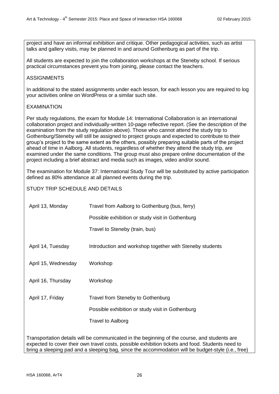project and have an informal exhibition and critique. Other pedagogical activities, such as artist talks and gallery visits, may be planned in and around Gothenburg as part of the trip.

All students are expected to join the collaboration workshops at the Steneby school. If serious practical circumstances prevent you from joining, please contact the teachers.

# ASSIGNMENTS

In additional to the stated assignments under each lesson, for each lesson you are required to log your activities online on WordPress or a similar such site.

# EXAMINATION

Per study regulations, the exam for Module 14: International Collaboration is an international collaboration project and individually-written 10-page reflective report. (See the description of the examination from the study regulation above). Those who cannot attend the study trip to Gothenburg/Steneby will still be assigned to project groups and expected to contribute to their group's project to the same extent as the others, possibly preparing suitable parts of the project ahead of time in Aalborg. All students, regardless of whether they attend the study trip, are examined under the same conditions. The group must also prepare online documentation of the project including a brief abstract and media such as images, video and/or sound.

The examination for Module 37: International Study Tour will be substituted by active participation defined as 80% attendance at all planned events during the trip.

STUDY TRIP SCHEDULE AND DETAILS

| April 13, Monday                                                                            | Travel from Aalborg to Gothenburg (bus, ferry)           |  |  |
|---------------------------------------------------------------------------------------------|----------------------------------------------------------|--|--|
|                                                                                             | Possible exhibition or study visit in Gothenburg         |  |  |
|                                                                                             | Travel to Steneby (train, bus)                           |  |  |
| April 14, Tuesday                                                                           | Introduction and workshop together with Steneby students |  |  |
| April 15, Wednesday                                                                         | Workshop                                                 |  |  |
| April 16, Thursday                                                                          | Workshop                                                 |  |  |
| April 17, Friday                                                                            | Travel from Steneby to Gothenburg                        |  |  |
|                                                                                             | Possible exhibition or study visit in Gothenburg         |  |  |
|                                                                                             | <b>Travel to Aalborg</b>                                 |  |  |
| Transportation details will be communicated in the beginning of the course and students are |                                                          |  |  |

I ransportation details will be communicated in the beginning of the course, and students are expected to cover their own travel costs, possible exhibition tickets and food. Students need to bring a sleeping pad and a sleeping bag, since the accommodation will be budget-style (i.e., free)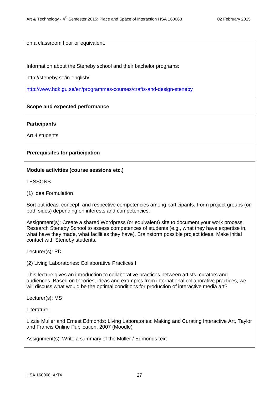on a classroom floor or equivalent.

Information about the Steneby school and their bachelor programs:

http://steneby.se/in-english/

<http://www.hdk.gu.se/en/programmes-courses/crafts-and-design-steneby>

## **Scope and expected performance**

**Participants**

Art 4 students

# **Prerequisites for participation**

## **Module activities (course sessions etc.)**

LESSONS

(1) Idea Formulation

Sort out ideas, concept, and respective competencies among participants. Form project groups (on both sides) depending on interests and competencies.

Assignment(s): Create a shared Wordpress (or equivalent) site to document your work process. Research Steneby School to assess competences of students (e.g., what they have expertise in, what have they made, what facilities they have). Brainstorm possible project ideas. Make initial contact with Steneby students.

Lecturer(s): PD

(2) Living Laboratories: Collaborative Practices I

This lecture gives an introduction to collaborative practices between artists, curators and audiences. Based on theories, ideas and examples from international collaborative practices, we will discuss what would be the optimal conditions for production of interactive media art?

Lecturer(s): MS

Literature:

Lizzie Muller and Ernest Edmonds: Living Laboratories: Making and Curating Interactive Art, Taylor and Francis Online Publication, 2007 (Moodle)

Assignment(s): Write a summary of the Muller / Edmonds text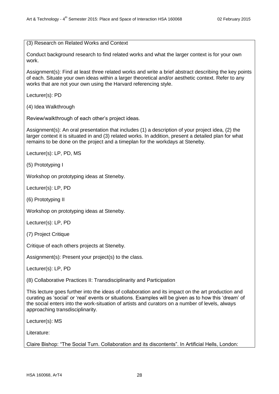(3) Research on Related Works and Context

Conduct background research to find related works and what the larger context is for your own work.

Assignment(s): Find at least three related works and write a brief abstract describing the key points of each. Situate your own ideas within a larger theoretical and/or aesthetic context. Refer to any works that are not your own using the Harvard referencing style.

Lecturer(s): PD

(4) Idea Walkthrough

Review/walkthrough of each other's project ideas.

Assignment(s): An oral presentation that includes (1) a description of your project idea, (2) the larger context it is situated in and (3) related works. In addition, present a detailed plan for what remains to be done on the project and a timeplan for the workdays at Steneby.

Lecturer(s): LP, PD, MS

(5) Prototyping I

Workshop on prototyping ideas at Steneby.

Lecturer(s): LP, PD

(6) Prototyping II

Workshop on prototyping ideas at Steneby.

Lecturer(s): LP, PD

(7) Project Critique

Critique of each others projects at Steneby.

Assignment(s): Present your project(s) to the class.

Lecturer(s): LP, PD

(8) Collaborative Practices II: Transdisciplinarity and Participation

This lecture goes further into the ideas of collaboration and its impact on the art production and curating as 'social' or 'real' events or situations. Examples will be given as to how this 'dream' of the social enters into the work-situation of artists and curators on a number of levels, always approaching transdisciplinarity.

Lecturer(s): MS

Literature:

Claire Bishop: "The Social Turn. Collaboration and its discontents". In Artificial Hells, London: